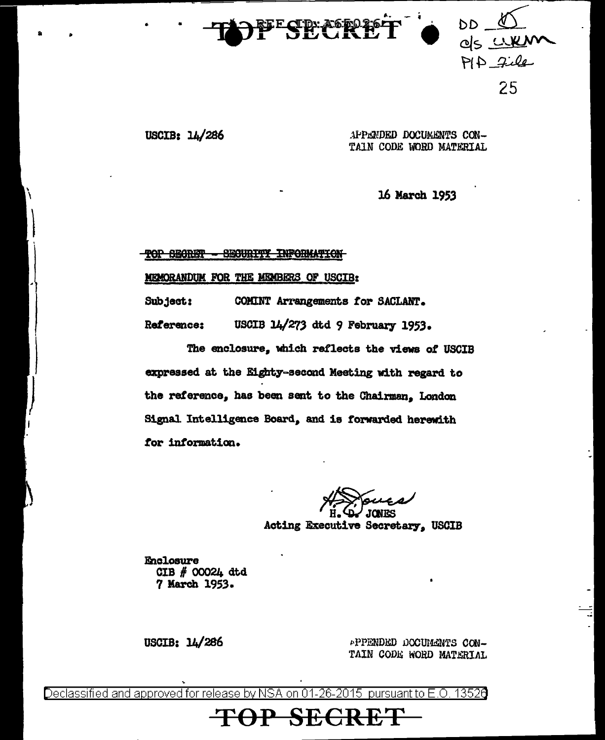

 $PIP$  file  $rac{Q}{2\sqrt{2}}$ 25

্ৰ> -

USCIB: 14/286 . APPANDED DOCUMENTS CON-TAIN CODE WORD MATERIAL

16 March *19S3* 

TOP SECRET - SECURITY INFORMATION

Ml!HORANDUK FOR THE MEMBERS OF USCIB:

Subject: Ref'erence: COHINT Arrangements *tor* SACLANT. USOIB 14/273 dtd 9 February 1953•

The enclosure, which reflects the views of USCIB expressed at the Eighty-second Meeting with regard to the reference, has been sent to the Chairman, London Signal Intelligence Board, and is forwarded herewith tor intormaticm.

 $\rightarrow\$ 

 $r~$ H.  $\overline{Q}$  JONES<br>Acting Executive Secretary. USCIB

Enclosure CIB *II* 00024 dtd 7 March 1953.

USCIB: 14/286

\*PPENDED DOCUMENTS CON-TAIN CODE WORD MATERIAL

Declassified and approved for release by NSA on 01-26-2015 pursuant to E.O. 1352 $\mathsf d$ 

**TOP SECRE**